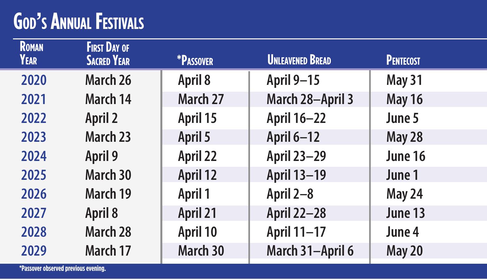## **God's Annual Festivals**

| <b>ROMAN</b><br>YEAR | <b>FIRST DAY OF</b><br><b>SACRED YEAR</b> | *PASSOVER | <b>UNLEAVENED BREAD</b> | <b>PENTECOST</b> |
|----------------------|-------------------------------------------|-----------|-------------------------|------------------|
| 2020                 | March 26                                  | April 8   | April 9-15              | May 31           |
| 2021                 | March 14                                  | March 27  | March 28-April 3        | <b>May 16</b>    |
| 2022                 | April 2                                   | April 15  | April 16-22             | June 5           |
| 2023                 | March 23                                  | April 5   | April 6-12              | May 28           |
| 2024                 | April 9                                   | April 22  | April 23-29             | June 16          |
| 2025                 | March 30                                  | April 12  | April 13-19             | June 1           |
| 2026                 | March 19                                  | April 1   | April 2-8               | May 24           |
| 2027                 | April 8                                   | April 21  | April 22-28             | June 13          |
| 2028                 | March 28                                  | April 10  | April 11-17             | June 4           |
| 2029                 | March 17                                  | March 30  | March 31-April 6        | <b>May 20</b>    |
|                      |                                           |           |                         |                  |